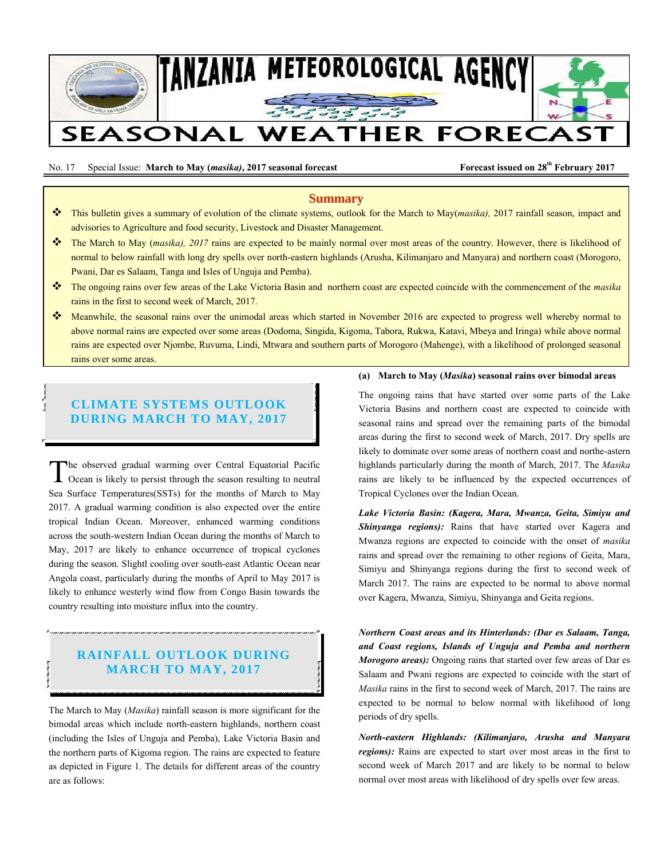

No. 17 Special Issue: March to May (*masika*), 2017 seasonal forecast Forecast Forecast issued on 28<sup>th</sup> February 2017

### **Summary**

- This bulletin gives a summary of evolution of the climate systems, outlook for the March to May(*masika),* 2017 rainfall season, impact and advisories to Agriculture and food security, Livestock and Disaster Management.
- The March to May (*masika), 2017* rains are expected to be mainly normal over most areas of the country. However, there is likelihood of normal to below rainfall with long dry spells over north-eastern highlands (Arusha, Kilimanjaro and Manyara) and northern coast (Morogoro, Pwani, Dar es Salaam, Tanga and Isles of Unguja and Pemba).
- The ongoing rains over few areas of the Lake Victoria Basin and northern coast are expected coincide with the commencement of the *masika* rains in the first to second week of March, 2017.
- Meanwhile, the seasonal rains over the unimodal areas which started in November 2016 are expected to progress well whereby normal to above normal rains are expected over some areas (Dodoma, Singida, Kigoma, Tabora, Rukwa, Katavi, Mbeya and Iringa) while above normal rains are expected over Njombe, Ruvuma, Lindi, Mtwara and southern parts of Morogoro (Mahenge), with a likelihood of prolonged seasonal rains over some areas.

# **CLIMATE SYSTEMS OUTLOOK DURING MARCH TO MAY, 2017**

Ņ

he observed gradual warming over Central Equatorial Pacific Ocean is likely to persist through the season resulting to neutral The observed gradual warming over Central Equatorial Pacific<br>Ocean is likely to persist through the season resulting to neutral<br>Sea Surface Temperatures(SSTs) for the months of March to May 2017. A gradual warming condition is also expected over the entire tropical Indian Ocean. Moreover, enhanced warming conditions across the south-western Indian Ocean during the months of March to May, 2017 are likely to enhance occurrence of tropical cyclones during the season. Slightl cooling over south-east Atlantic Ocean near Angola coast, particularly during the months of April to May 2017 is likely to enhance westerly wind flow from Congo Basin towards the country resulting into moisture influx into the country.

# **RAINFALL OUTLOOK DURING MARCH TO MAY, 2017**

The March to May (*Masika*) rainfall season is more significant for the bimodal areas which include north-eastern highlands, northern coast (including the Isles of Unguja and Pemba), Lake Victoria Basin and the northern parts of Kigoma region. The rains are expected to feature as depicted in Figure 1. The details for different areas of the country are as follows:

### **(a) March to May (***Masika***) seasonal rains over bimodal areas**

The ongoing rains that have started over some parts of the Lake Victoria Basins and northern coast are expected to coincide with seasonal rains and spread over the remaining parts of the bimodal areas during the first to second week of March, 2017. Dry spells are likely to dominate over some areas of northern coast and northe-astern highlands particularly during the month of March, 2017. The *Masika* rains are likely to be influenced by the expected occurrences of Tropical Cyclones over the Indian Ocean.

*Lake Victoria Basin: (Kagera, Mara, Mwanza, Geita, Simiyu and Shinyanga regions):* Rains that have started over Kagera and Mwanza regions are expected to coincide with the onset of *masika*  rains and spread over the remaining to other regions of Geita, Mara, Simiyu and Shinyanga regions during the first to second week of March 2017. The rains are expected to be normal to above normal over Kagera, Mwanza, Simiyu, Shinyanga and Geita regions.

*Northern Coast areas and its Hinterlands: (Dar es Salaam, Tanga, and Coast regions, Islands of Unguja and Pemba and northern Morogoro areas):* Ongoing rains that started over few areas of Dar es Salaam and Pwani regions are expected to coincide with the start of *Masika* rains in the first to second week of March, 2017. The rains are expected to be normal to below normal with likelihood of long periods of dry spells.

*North-eastern Highlands: (Kilimanjaro, Arusha and Manyara regions):* Rains are expected to start over most areas in the first to second week of March 2017 and are likely to be normal to below normal over most areas with likelihood of dry spells over few areas.